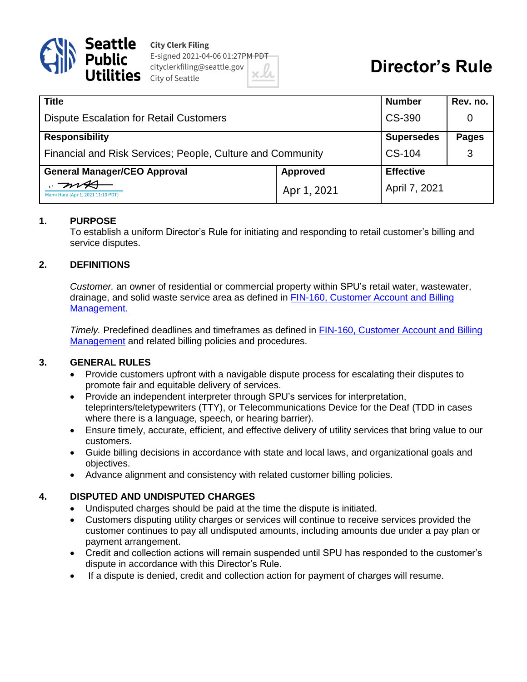

**City Clerk Filing** E-signed 2021-04-06 01:27PM PDT cityclerkfiling@seattle.gov  $\text{e}$  City of Seattle

# **Director's Rule**

| <b>Title</b>                                               |                 | <b>Number</b>     | Rev. no.     |
|------------------------------------------------------------|-----------------|-------------------|--------------|
| <b>Dispute Escalation for Retail Customers</b>             |                 | CS-390            |              |
| <b>Responsibility</b>                                      |                 | <b>Supersedes</b> | <b>Pages</b> |
| Financial and Risk Services; People, Culture and Community |                 | CS-104            | 3            |
| <b>General Manager/CEO Approval</b>                        | <b>Approved</b> | <b>Effective</b>  |              |
| Mami Hara (Apr 1, 2021 11:10 PDT)                          | Apr 1, 2021     | April 7, 2021     |              |

## **1. PURPOSE**

To establish a uniform Director's Rule for initiating and responding to retail customer's billing and service disputes.

## **2. DEFINITIONS**

*Customer.* an owner of residential or commercial property within SPU's retail water, wastewater, drainage, and solid waste service area as defined in FIN-160, [Customer Account and Billing](https://www.seattle.gov/Documents/Departments/SPU/Documents/FIN160_Customer_Account_Billing.pdf)  [Management.](https://www.seattle.gov/Documents/Departments/SPU/Documents/FIN160_Customer_Account_Billing.pdf)

*Timely.* Predefined deadlines and timeframes as defined in [FIN-160, Customer Account and Billing](http://www.seattle.gov/Documents/Departments/SPU/Documents/FIN160_Customer_Account_Billing.pdf)  [Management](http://www.seattle.gov/Documents/Departments/SPU/Documents/FIN160_Customer_Account_Billing.pdf) and related billing policies and procedures.

#### **3. GENERAL RULES**

- Provide customers upfront with a navigable dispute process for escalating their disputes to promote fair and equitable delivery of services.
- Provide an independent interpreter through SPU's services for interpretation, teleprinters/teletypewriters (TTY), or Telecommunications Device for the Deaf (TDD in cases where there is a language, speech, or hearing barrier).
- Ensure timely, accurate, efficient, and effective delivery of utility services that bring value to our customers.
- Guide billing decisions in accordance with state and local laws, and organizational goals and objectives.
- Advance alignment and consistency with related customer billing policies.

# **4. DISPUTED AND UNDISPUTED CHARGES**

- Undisputed charges should be paid at the time the dispute is initiated.
- Customers disputing utility charges or services will continue to receive services provided the customer continues to pay all undisputed amounts, including amounts due under a pay plan or payment arrangement.
- Credit and collection actions will remain suspended until SPU has responded to the customer's dispute in accordance with this Director's Rule.
- If a dispute is denied, credit and collection action for payment of charges will resume.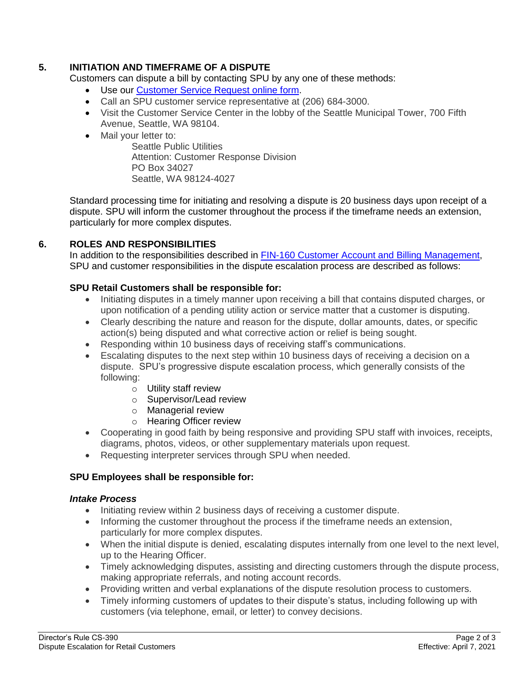# **5. INITIATION AND TIMEFRAME OF A DISPUTE**

Customers can dispute a bill by contacting SPU by any one of these methods:

- Use our [Customer Service Request online form.](https://seattle-cwiprod.motorolasolutions.com/)
- Call an SPU customer service representative at (206) 684-3000.
- Visit the Customer Service Center in the lobby of the Seattle Municipal Tower, 700 Fifth Avenue, Seattle, WA 98104.
- Mail your letter to:

Seattle Public Utilities Attention: Customer Response Division PO Box 34027 Seattle, WA 98124-4027

Standard processing time for initiating and resolving a dispute is 20 business days upon receipt of a dispute. SPU will inform the customer throughout the process if the timeframe needs an extension, particularly for more complex disputes.

## **6. ROLES AND RESPONSIBILITIES**

In addition to the responsibilities described in **FIN-160 Customer Account and Billing Management**, SPU and customer responsibilities in the dispute escalation process are described as follows:

#### **SPU Retail Customers shall be responsible for:**

- Initiating disputes in a timely manner upon receiving a bill that contains disputed charges, or upon notification of a pending utility action or service matter that a customer is disputing.
- Clearly describing the nature and reason for the dispute, dollar amounts, dates, or specific action(s) being disputed and what corrective action or relief is being sought.
- Responding within 10 business days of receiving staff's communications.
- Escalating disputes to the next step within 10 business days of receiving a decision on a dispute. SPU's progressive dispute escalation process, which generally consists of the following:
	- o Utility staff review
	- o Supervisor/Lead review
	- o Managerial review
	- o Hearing Officer review
- Cooperating in good faith by being responsive and providing SPU staff with invoices, receipts, diagrams, photos, videos, or other supplementary materials upon request.
- Requesting interpreter services through SPU when needed.

#### **SPU Employees shall be responsible for:**

#### *Intake Process*

- Initiating review within 2 business days of receiving a customer dispute.
- Informing the customer throughout the process if the timeframe needs an extension, particularly for more complex disputes.
- When the initial dispute is denied, escalating disputes internally from one level to the next level, up to the Hearing Officer.
- Timely acknowledging disputes, assisting and directing customers through the dispute process, making appropriate referrals, and noting account records.
- Providing written and verbal explanations of the dispute resolution process to customers.
- Timely informing customers of updates to their dispute's status, including following up with customers (via telephone, email, or letter) to convey decisions.